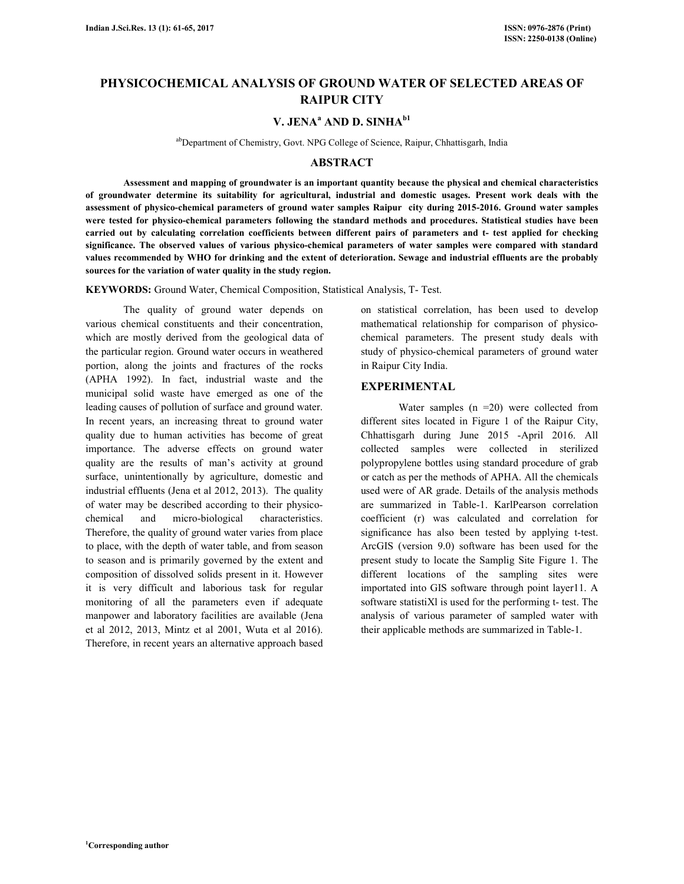# **PHYSICOCHEMICAL ANALYSIS OF GROUND WATER OF SELECTED AREAS OF RAIPUR CITY**

## **V. JENA<sup>a</sup> AND D. SINHAb1**

abDepartment of Chemistry, Govt. NPG College of Science, Raipur, Chhattisgarh, India

## **ABSTRACT**

 **Assessment and mapping of groundwater is an important quantity because the physical and chemical characteristics of groundwater determine its suitability for agricultural, industrial and domestic usages. Present work deals with the assessment of physico-chemical parameters of ground water samples Raipur city during 2015-2016. Ground water samples were tested for physico-chemical parameters following the standard methods and procedures. Statistical studies have been carried out by calculating correlation coefficients between different pairs of parameters and t- test applied for checking significance. The observed values of various physico-chemical parameters of water samples were compared with standard values recommended by WHO for drinking and the extent of deterioration. Sewage and industrial effluents are the probably sources for the variation of water quality in the study region.** 

**KEYWORDS:** Ground Water, Chemical Composition, Statistical Analysis, T- Test.

 The quality of ground water depends on various chemical constituents and their concentration, which are mostly derived from the geological data of the particular region. Ground water occurs in weathered portion, along the joints and fractures of the rocks (APHA 1992). In fact, industrial waste and the municipal solid waste have emerged as one of the leading causes of pollution of surface and ground water. In recent years, an increasing threat to ground water quality due to human activities has become of great importance. The adverse effects on ground water quality are the results of man's activity at ground surface, unintentionally by agriculture, domestic and industrial effluents (Jena et al 2012, 2013). The quality of water may be described according to their physicochemical and micro-biological characteristics. Therefore, the quality of ground water varies from place to place, with the depth of water table, and from season to season and is primarily governed by the extent and composition of dissolved solids present in it. However it is very difficult and laborious task for regular monitoring of all the parameters even if adequate manpower and laboratory facilities are available (Jena et al 2012, 2013, Mintz et al 2001, Wuta et al 2016). Therefore, in recent years an alternative approach based on statistical correlation, has been used to develop mathematical relationship for comparison of physicochemical parameters. The present study deals with study of physico-chemical parameters of ground water in Raipur City India.

## **EXPERIMENTAL**

Water samples  $(n = 20)$  were collected from different sites located in Figure 1 of the Raipur City, Chhattisgarh during June 2015 -April 2016. All collected samples were collected in sterilized polypropylene bottles using standard procedure of grab or catch as per the methods of APHA. All the chemicals used were of AR grade. Details of the analysis methods are summarized in Table-1. KarlPearson correlation coefficient (r) was calculated and correlation for significance has also been tested by applying t-test. ArcGIS (version 9.0) software has been used for the present study to locate the Samplig Site Figure 1. The different locations of the sampling sites were importated into GIS software through point layer11. A software statistiXl is used for the performing t- test. The analysis of various parameter of sampled water with their applicable methods are summarized in Table-1.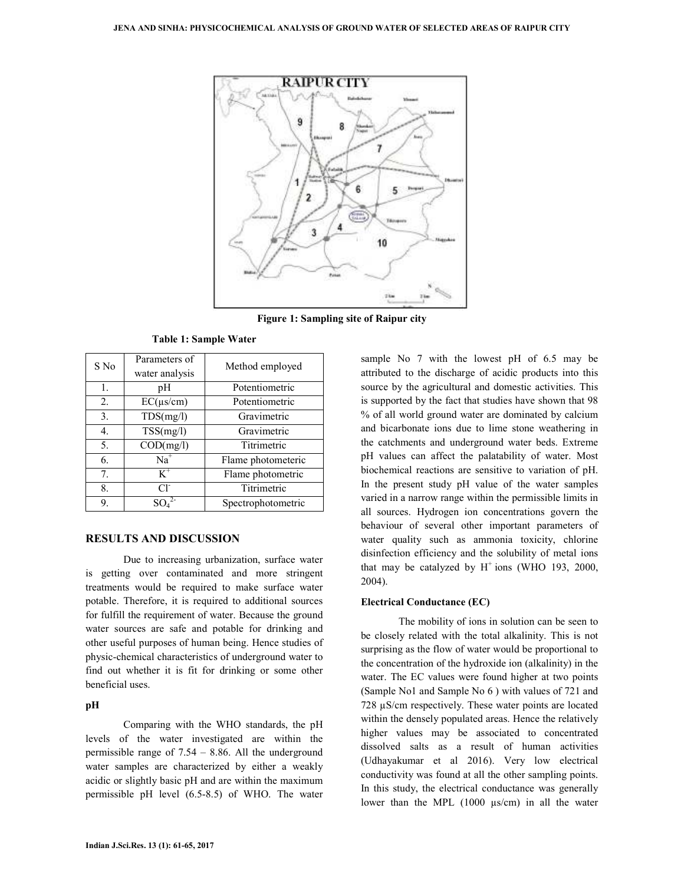

**Figure 1: Sampling site of Raipur city** 

| S No             | Parameters of<br>water analysis | Method employed    |  |
|------------------|---------------------------------|--------------------|--|
| 1.               | pН                              | Potentiometric     |  |
| 2.               | $EC(\mu s/cm)$                  | Potentiometric     |  |
| 3 <sub>1</sub>   | TDS(mg/l)                       | Gravimetric        |  |
| $\overline{4}$ . | TSS(mg/l)                       | Gravimetric        |  |
| 5.               | COD(mg/l)                       | Titrimetric        |  |
| 6.               | $Na+$                           | Flame photometeric |  |
| 7.               | $K^+$                           | Flame photometric  |  |
| 8.               | $Cl^{\dagger}$                  | Titrimetric        |  |
| 9.               | SO.                             | Spectrophotometric |  |

**Table 1: Sample Water** 

## **RESULTS AND DISCUSSION**

 Due to increasing urbanization, surface water is getting over contaminated and more stringent treatments would be required to make surface water potable. Therefore, it is required to additional sources for fulfill the requirement of water. Because the ground water sources are safe and potable for drinking and other useful purposes of human being. Hence studies of physic-chemical characteristics of underground water to find out whether it is fit for drinking or some other beneficial uses.

## **pH**

Comparing with the WHO standards, the pH levels of the water investigated are within the permissible range of 7.54 – 8.86. All the underground water samples are characterized by either a weakly acidic or slightly basic pH and are within the maximum permissible pH level (6.5-8.5) of WHO. The water

sample No 7 with the lowest pH of 6.5 may be attributed to the discharge of acidic products into this source by the agricultural and domestic activities. This is supported by the fact that studies have shown that 98 % of all world ground water are dominated by calcium and bicarbonate ions due to lime stone weathering in the catchments and underground water beds. Extreme pH values can affect the palatability of water. Most biochemical reactions are sensitive to variation of pH. In the present study pH value of the water samples varied in a narrow range within the permissible limits in all sources. Hydrogen ion concentrations govern the behaviour of several other important parameters of water quality such as ammonia toxicity, chlorine disinfection efficiency and the solubility of metal ions that may be catalyzed by  $H^+$  ions (WHO 193, 2000, 2004).

### **Electrical Conductance (EC)**

The mobility of ions in solution can be seen to be closely related with the total alkalinity. This is not surprising as the flow of water would be proportional to the concentration of the hydroxide ion (alkalinity) in the water. The EC values were found higher at two points (Sample No1 and Sample No 6 ) with values of 721 and 728 µS/cm respectively. These water points are located within the densely populated areas. Hence the relatively higher values may be associated to concentrated dissolved salts as a result of human activities (Udhayakumar et al 2016). Very low electrical conductivity was found at all the other sampling points. In this study, the electrical conductance was generally lower than the MPL (1000 µs/cm) in all the water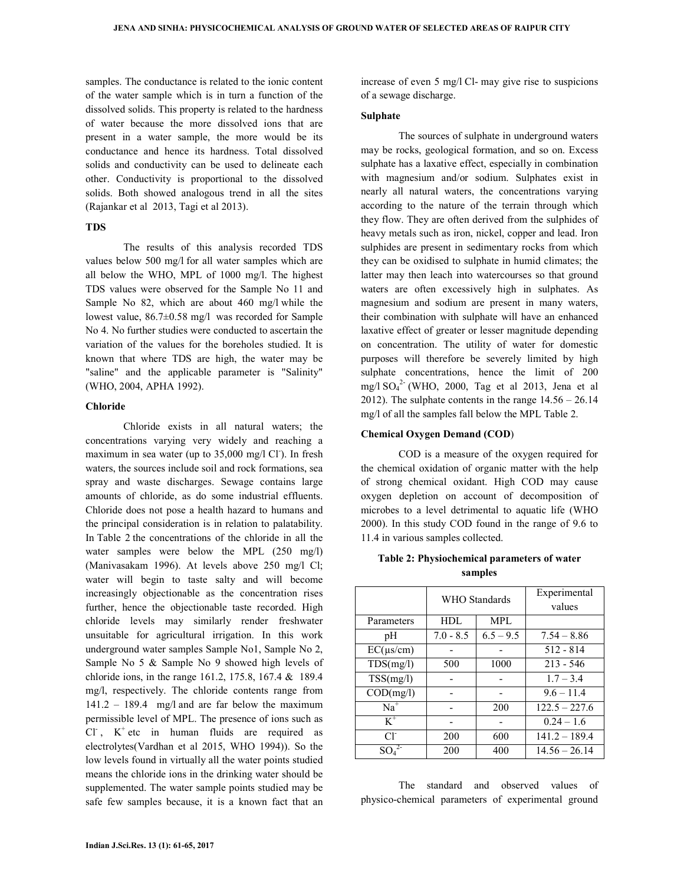samples. The conductance is related to the ionic content of the water sample which is in turn a function of the dissolved solids. This property is related to the hardness of water because the more dissolved ions that are present in a water sample, the more would be its conductance and hence its hardness. Total dissolved solids and conductivity can be used to delineate each other. Conductivity is proportional to the dissolved solids. Both showed analogous trend in all the sites (Rajankar et al 2013, Tagi et al 2013).

#### **TDS**

The results of this analysis recorded TDS values below 500 mg/l for all water samples which are all below the WHO, MPL of 1000 mg/l. The highest TDS values were observed for the Sample No 11 and Sample No 82, which are about 460 mg/l while the lowest value, 86.7±0.58 mg/l was recorded for Sample No 4. No further studies were conducted to ascertain the variation of the values for the boreholes studied. It is known that where TDS are high, the water may be "saline" and the applicable parameter is "Salinity" (WHO, 2004, APHA 1992).

#### **Chloride**

Chloride exists in all natural waters; the concentrations varying very widely and reaching a maximum in sea water (up to 35,000 mg/l Cl<sup>-</sup>). In fresh waters, the sources include soil and rock formations, sea spray and waste discharges. Sewage contains large amounts of chloride, as do some industrial effluents. Chloride does not pose a health hazard to humans and the principal consideration is in relation to palatability. In Table 2 the concentrations of the chloride in all the water samples were below the MPL (250 mg/l) (Manivasakam 1996). At levels above 250 mg/l Cl; water will begin to taste salty and will become increasingly objectionable as the concentration rises further, hence the objectionable taste recorded. High chloride levels may similarly render freshwater unsuitable for agricultural irrigation. In this work underground water samples Sample No1, Sample No 2, Sample No 5 & Sample No 9 showed high levels of chloride ions, in the range 161.2, 175.8, 167.4 & 189.4 mg/l, respectively. The chloride contents range from 141.2 – 189.4 mg/l and are far below the maximum permissible level of MPL. The presence of ions such as  $CI$ ,  $K^+$  etc in human fluids are required as electrolytes(Vardhan et al 2015, WHO 1994)). So the low levels found in virtually all the water points studied means the chloride ions in the drinking water should be supplemented. The water sample points studied may be safe few samples because, it is a known fact that an increase of even 5 mg/l Cl- may give rise to suspicions of a sewage discharge.

#### **Sulphate**

 The sources of sulphate in underground waters may be rocks, geological formation, and so on. Excess sulphate has a laxative effect, especially in combination with magnesium and/or sodium. Sulphates exist in nearly all natural waters, the concentrations varying according to the nature of the terrain through which they flow. They are often derived from the sulphides of heavy metals such as iron, nickel, copper and lead. Iron sulphides are present in sedimentary rocks from which they can be oxidised to sulphate in humid climates; the latter may then leach into watercourses so that ground waters are often excessively high in sulphates. As magnesium and sodium are present in many waters, their combination with sulphate will have an enhanced laxative effect of greater or lesser magnitude depending on concentration. The utility of water for domestic purposes will therefore be severely limited by high sulphate concentrations, hence the limit of 200 mg/l  $SO_4^2$  (WHO, 2000, Tag et al 2013, Jena et al 2012). The sulphate contents in the range  $14.56 - 26.14$ mg/l of all the samples fall below the MPL Table 2.

#### **Chemical Oxygen Demand (COD**)

 COD is a measure of the oxygen required for the chemical oxidation of organic matter with the help of strong chemical oxidant. High COD may cause oxygen depletion on account of decomposition of microbes to a level detrimental to aquatic life (WHO 2000). In this study COD found in the range of 9.6 to 11.4 in various samples collected.

## **Table 2: Physiochemical parameters of water samples**

|                | WHO Standards |             | Experimental<br>values |
|----------------|---------------|-------------|------------------------|
| Parameters     | HDL           | MPL         |                        |
| pН             | $7.0 - 8.5$   | $6.5 - 9.5$ | $7.54 - 8.86$          |
| $EC(\mu s/cm)$ |               |             | $512 - 814$            |
| TDS(mg/l)      | 500           | 1000        | $213 - 546$            |
| TSS(mg/l)      |               |             | $1.7 - 3.4$            |
| COD(mg/l)      |               |             | $9.6 - 11.4$           |
| $Na+$          |               | 200         | $122.5 - 227.6$        |
| $K^+$          |               |             | $0.24 - 1.6$           |
| $Cl^{\dagger}$ | 200           | 600         | $141.2 - 189.4$        |
| SO,            | 200           | 400         | $14.56 - 26.14$        |

 The standard and observed values of physico-chemical parameters of experimental ground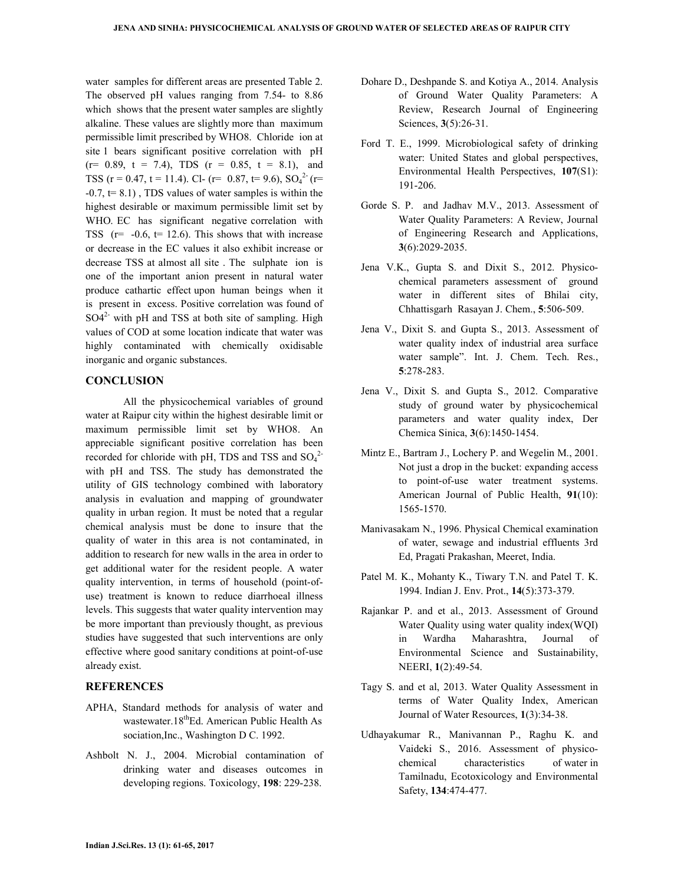water samples for different areas are presented Table 2. The observed pH values ranging from 7.54- to 8.86 which shows that the present water samples are slightly alkaline. These values are slightly more than maximum permissible limit prescribed by WHO8. Chloride ion at site 1 bears significant positive correlation with pH  $(r= 0.89, t = 7.4)$ , TDS  $(r = 0.85, t = 8.1)$ , and TSS (r = 0.47, t = 11.4). Cl- (r= 0.87, t= 9.6),  $SO_4^{2-}$  (r=  $-0.7$ ,  $t= 8.1$ ), TDS values of water samples is within the highest desirable or maximum permissible limit set by WHO. EC has significant negative correlation with TSS  $(r= -0.6, t= 12.6)$ . This shows that with increase or decrease in the EC values it also exhibit increase or decrease TSS at almost all site . The sulphate ion is one of the important anion present in natural water produce cathartic effect upon human beings when it is present in excess. Positive correlation was found of  $SO4<sup>2</sup>$  with pH and TSS at both site of sampling. High values of COD at some location indicate that water was highly contaminated with chemically oxidisable inorganic and organic substances.

## **CONCLUSION**

 All the physicochemical variables of ground water at Raipur city within the highest desirable limit or maximum permissible limit set by WHO8. An appreciable significant positive correlation has been recorded for chloride with pH, TDS and TSS and  $SO_4^2$ with pH and TSS. The study has demonstrated the utility of GIS technology combined with laboratory analysis in evaluation and mapping of groundwater quality in urban region. It must be noted that a regular chemical analysis must be done to insure that the quality of water in this area is not contaminated, in addition to research for new walls in the area in order to get additional water for the resident people. A water quality intervention, in terms of household (point-ofuse) treatment is known to reduce diarrhoeal illness levels. This suggests that water quality intervention may be more important than previously thought, as previous studies have suggested that such interventions are only effective where good sanitary conditions at point-of-use already exist.

## **REFERENCES**

- APHA, Standard methods for analysis of water and wastewater.18<sup>th</sup>Ed. American Public Health As sociation,Inc., Washington D C. 1992.
- Ashbolt N. J., 2004. Microbial contamination of drinking water and diseases outcomes in developing regions. Toxicology, **198**: 229-238.
- Dohare D., Deshpande S. and Kotiya A., 2014. Analysis of Ground Water Quality Parameters: A Review, Research Journal of Engineering Sciences, **3**(5):26-31.
- Ford T. E., 1999. Microbiological safety of drinking water: United States and global perspectives, Environmental Health Perspectives, **107**(S1): 191-206.
- Gorde S. P. and Jadhav M.V., 2013. Assessment of Water Quality Parameters: A Review, Journal of Engineering Research and Applications, **3**(6):2029-2035.
- Jena V.K., Gupta S. and Dixit S., 2012. Physicochemical parameters assessment of ground water in different sites of Bhilai city, Chhattisgarh Rasayan J. Chem., **5**:506-509.
- Jena V., Dixit S. and Gupta S., 2013. Assessment of water quality index of industrial area surface water sample". Int. J. Chem. Tech. Res., **5**:278-283.
- Jena V., Dixit S. and Gupta S., 2012. Comparative study of ground water by physicochemical parameters and water quality index, Der Chemica Sinica, **3**(6):1450-1454.
- Mintz E., Bartram J., Lochery P. and Wegelin M., 2001. Not just a drop in the bucket: expanding access to point-of-use water treatment systems. American Journal of Public Health, **91**(10): 1565-1570.
- Manivasakam N., 1996. Physical Chemical examination of water, sewage and industrial effluents 3rd Ed, Pragati Prakashan, Meeret, India.
- Patel M. K., Mohanty K., Tiwary T.N. and Patel T. K. 1994. Indian J. Env. Prot., **14**(5):373-379.
- Rajankar P. and et al., 2013. Assessment of Ground Water Quality using water quality index(WQI) in Wardha Maharashtra, Journal of Environmental Science and Sustainability, NEERI, **1**(2):49-54.
- Tagy S. and et al, 2013. Water Quality Assessment in terms of Water Quality Index, American Journal of Water Resources, **1**(3):34-38.
- Udhayakumar R., Manivannan P., Raghu K. and Vaideki S., 2016. Assessment of physicochemical characteristics of water in Tamilnadu, Ecotoxicology and Environmental Safety, **134**:474-477.